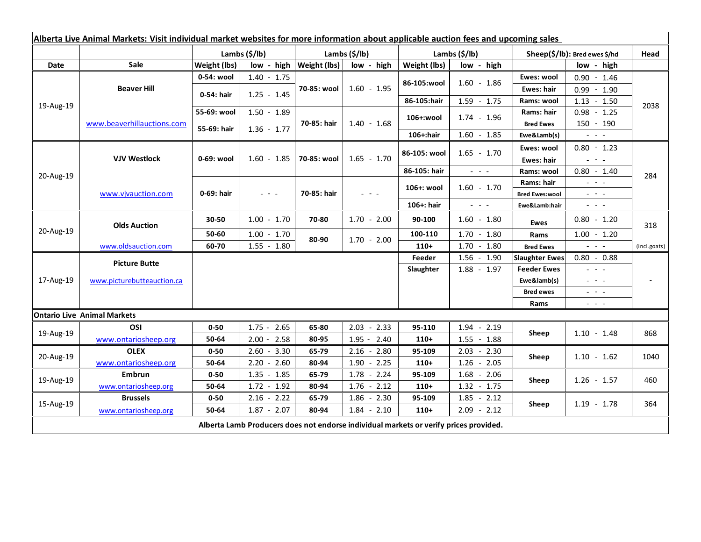| Alberta Live Animal Markets: Visit individual market websites for more information about applicable auction fees and upcoming sales |                                    |               |                                                                                   |                     |               |               |                                             |                                             |                                                                                                                                                                                                                                                                                                                                                                                                                                                |                                             |
|-------------------------------------------------------------------------------------------------------------------------------------|------------------------------------|---------------|-----------------------------------------------------------------------------------|---------------------|---------------|---------------|---------------------------------------------|---------------------------------------------|------------------------------------------------------------------------------------------------------------------------------------------------------------------------------------------------------------------------------------------------------------------------------------------------------------------------------------------------------------------------------------------------------------------------------------------------|---------------------------------------------|
|                                                                                                                                     |                                    | Lambs (\$/lb) |                                                                                   | Lambs (\$/lb)       |               | Lambs (\$/lb) |                                             | Sheep(\$/lb): Bred ewes \$/hd               |                                                                                                                                                                                                                                                                                                                                                                                                                                                | Head                                        |
| Date                                                                                                                                | Sale                               | Weight (lbs)  | low - high                                                                        | <b>Weight (lbs)</b> | low - high    | Weight (lbs)  | low - high                                  |                                             | low - high                                                                                                                                                                                                                                                                                                                                                                                                                                     |                                             |
| 19-Aug-19                                                                                                                           | <b>Beaver Hill</b>                 | 0-54: wool    | $1.40 - 1.75$                                                                     | 70-85: wool         | $1.60 - 1.95$ | 86-105:wool   | $1.60 - 1.86$                               | Ewes: wool                                  | $0.90 - 1.46$                                                                                                                                                                                                                                                                                                                                                                                                                                  |                                             |
|                                                                                                                                     |                                    | 0-54: hair    | $1.25 - 1.45$                                                                     |                     |               |               |                                             | <b>Ewes: hair</b>                           | $0.99 - 1.90$                                                                                                                                                                                                                                                                                                                                                                                                                                  |                                             |
|                                                                                                                                     |                                    |               |                                                                                   |                     |               | 86-105:hair   | $1.59 - 1.75$                               | Rams: wool                                  | $1.13 - 1.50$                                                                                                                                                                                                                                                                                                                                                                                                                                  | 2038                                        |
|                                                                                                                                     | www.beaverhillauctions.com         | 55-69: wool   | $1.50 - 1.89$                                                                     | 70-85: hair         | $1.40 - 1.68$ | 106+:wool     | $1.74 - 1.96$                               | Rams: hair                                  | $0.98 - 1.25$                                                                                                                                                                                                                                                                                                                                                                                                                                  |                                             |
|                                                                                                                                     |                                    | 55-69: hair   | $1.36 - 1.77$                                                                     |                     |               |               |                                             | <b>Bred Ewes</b>                            | 150 - 190                                                                                                                                                                                                                                                                                                                                                                                                                                      |                                             |
|                                                                                                                                     |                                    |               |                                                                                   |                     |               | 106+:hair     | $1.60 - 1.85$                               | Ewe&Lamb(s)                                 | $\omega_{\rm{eff}}$ and $\omega_{\rm{eff}}$                                                                                                                                                                                                                                                                                                                                                                                                    |                                             |
| 20-Aug-19                                                                                                                           | <b>VJV Westlock</b>                | 0-69: wool    | $1.60 - 1.85$                                                                     | 70-85: wool         | $1.65 - 1.70$ | 86-105: wool  | $1.65 - 1.70$                               | Ewes: wool                                  | $0.80 - 1.23$                                                                                                                                                                                                                                                                                                                                                                                                                                  | 284                                         |
|                                                                                                                                     |                                    |               |                                                                                   |                     |               |               |                                             | Ewes: hair                                  | $  -$                                                                                                                                                                                                                                                                                                                                                                                                                                          |                                             |
|                                                                                                                                     |                                    |               |                                                                                   |                     |               | 86-105: hair  | $\mathbb{Z}^2$ and $\mathbb{Z}^2$           | Rams: wool                                  | $0.80 - 1.40$                                                                                                                                                                                                                                                                                                                                                                                                                                  |                                             |
|                                                                                                                                     | www.vivauction.com                 | 0-69: hair    | $\frac{1}{2} \left( \frac{1}{2} \right) = \frac{1}{2} \left( \frac{1}{2} \right)$ | 70-85: hair         | $  -$         | 106+: wool    | $1.60 - 1.70$                               | Rams: hair                                  | $\mathbb{L}^2 \times \mathbb{L}^2$                                                                                                                                                                                                                                                                                                                                                                                                             |                                             |
|                                                                                                                                     |                                    |               |                                                                                   |                     |               |               |                                             | <b>Bred Ewes:wool</b>                       | $\omega_{\rm{eff}}=0.1$                                                                                                                                                                                                                                                                                                                                                                                                                        |                                             |
|                                                                                                                                     |                                    |               |                                                                                   |                     |               | 106+: hair    | $\omega_{\rm{eff}}$ and $\omega_{\rm{eff}}$ | Ewe&Lamb:hair                               | $\omega_{\rm{eff}}$ and $\omega_{\rm{eff}}$                                                                                                                                                                                                                                                                                                                                                                                                    |                                             |
| 20-Aug-19                                                                                                                           | <b>Olds Auction</b>                | 30-50         | $1.00 - 1.70$                                                                     | 70-80               | $1.70 - 2.00$ | 90-100        | $1.60 - 1.80$                               | Ewes                                        | $0.80 - 1.20$                                                                                                                                                                                                                                                                                                                                                                                                                                  | 318                                         |
|                                                                                                                                     |                                    | 50-60         | $1.00 - 1.70$                                                                     | 80-90               | $1.70 - 2.00$ | 100-110       | $1.70 - 1.80$                               | Rams                                        | $1.00 - 1.20$                                                                                                                                                                                                                                                                                                                                                                                                                                  |                                             |
|                                                                                                                                     | www.oldsauction.com                | 60-70         | $1.55 - 1.80$                                                                     |                     |               | $110+$        | $1.70 - 1.80$                               | <b>Bred Ewes</b>                            | $\frac{1}{2} \left( \frac{1}{2} \right) \left( \frac{1}{2} \right) \left( \frac{1}{2} \right) \left( \frac{1}{2} \right)$                                                                                                                                                                                                                                                                                                                      | (incl.goats)                                |
| 17-Aug-19                                                                                                                           | <b>Picture Butte</b>               |               |                                                                                   |                     |               | Feeder        | $1.56 - 1.90$                               | <b>Slaughter Ewes</b>                       | $0.80 - 0.88$                                                                                                                                                                                                                                                                                                                                                                                                                                  |                                             |
|                                                                                                                                     | www.picturebutteauction.ca         |               |                                                                                   |                     | Slaughter     | $1.88 - 1.97$ | <b>Feeder Ewes</b>                          | $\omega_{\rm{eff}}$ and $\omega_{\rm{eff}}$ |                                                                                                                                                                                                                                                                                                                                                                                                                                                |                                             |
|                                                                                                                                     |                                    |               |                                                                                   |                     |               |               |                                             | Ewe&lamb(s)                                 |                                                                                                                                                                                                                                                                                                                                                                                                                                                | $\omega_{\rm{eff}}$ and $\omega_{\rm{eff}}$ |
|                                                                                                                                     |                                    |               |                                                                                   |                     |               |               |                                             | <b>Bred ewes</b>                            | $\frac{1}{2} \left( \frac{1}{2} \right) \frac{1}{2} \left( \frac{1}{2} \right) \frac{1}{2} \left( \frac{1}{2} \right) \frac{1}{2} \left( \frac{1}{2} \right) \frac{1}{2} \left( \frac{1}{2} \right) \frac{1}{2} \left( \frac{1}{2} \right) \frac{1}{2} \left( \frac{1}{2} \right) \frac{1}{2} \left( \frac{1}{2} \right) \frac{1}{2} \left( \frac{1}{2} \right) \frac{1}{2} \left( \frac{1}{2} \right) \frac{1}{2} \left( \frac{1}{2} \right)$ |                                             |
|                                                                                                                                     |                                    |               |                                                                                   |                     |               |               |                                             | Rams                                        | $\frac{1}{2} \left( \frac{1}{2} \right) = \frac{1}{2} \left( \frac{1}{2} \right)$                                                                                                                                                                                                                                                                                                                                                              |                                             |
|                                                                                                                                     | <b>Ontario Live Animal Markets</b> |               |                                                                                   |                     |               |               |                                             |                                             |                                                                                                                                                                                                                                                                                                                                                                                                                                                |                                             |
| 19-Aug-19                                                                                                                           | OSI                                | $0 - 50$      | $1.75 - 2.65$                                                                     | 65-80               | $2.03 - 2.33$ | 95-110        | $1.94 - 2.19$                               | Sheep                                       | $1.10 - 1.48$                                                                                                                                                                                                                                                                                                                                                                                                                                  | 868                                         |
|                                                                                                                                     | www.ontariosheep.org               | 50-64         | $2.00 - 2.58$                                                                     | 80-95               | $1.95 - 2.40$ | $110+$        | $1.55 - 1.88$                               |                                             |                                                                                                                                                                                                                                                                                                                                                                                                                                                |                                             |
| 20-Aug-19                                                                                                                           | <b>OLEX</b>                        | $0 - 50$      | $2.60 - 3.30$                                                                     | 65-79               | $2.16 - 2.80$ | 95-109        | $2.03 - 2.30$                               | Sheep                                       | $1.10 - 1.62$                                                                                                                                                                                                                                                                                                                                                                                                                                  | 1040                                        |
|                                                                                                                                     | www.ontariosheep.org               | 50-64         | $2.20 - 2.60$                                                                     | 80-94               | $1.90 - 2.25$ | $110+$        | $1.26 - 2.05$                               |                                             |                                                                                                                                                                                                                                                                                                                                                                                                                                                |                                             |
| 19-Aug-19                                                                                                                           | <b>Embrun</b>                      | $0 - 50$      | $1.35 - 1.85$                                                                     | 65-79               | $1.78 - 2.24$ | 95-109        | $1.68 - 2.06$                               | Sheep                                       | $1.26 - 1.57$                                                                                                                                                                                                                                                                                                                                                                                                                                  | 460                                         |
|                                                                                                                                     | www.ontariosheep.org               | 50-64         | $1.72 - 1.92$                                                                     | 80-94               | $1.76 - 2.12$ | $110+$        | $1.32 - 1.75$                               |                                             |                                                                                                                                                                                                                                                                                                                                                                                                                                                |                                             |
| 15-Aug-19                                                                                                                           | <b>Brussels</b>                    | $0 - 50$      | $2.16 - 2.22$                                                                     | 65-79               | $1.86 - 2.30$ | 95-109        | $1.85 - 2.12$                               | Sheep                                       | $1.19 - 1.78$                                                                                                                                                                                                                                                                                                                                                                                                                                  | 364                                         |
|                                                                                                                                     | www.ontariosheep.org               | 50-64         | $1.87 - 2.07$                                                                     | 80-94               | $1.84 - 2.10$ | $110+$        | $2.09 - 2.12$                               |                                             |                                                                                                                                                                                                                                                                                                                                                                                                                                                |                                             |
| Alberta Lamb Producers does not endorse individual markets or verify prices provided.                                               |                                    |               |                                                                                   |                     |               |               |                                             |                                             |                                                                                                                                                                                                                                                                                                                                                                                                                                                |                                             |